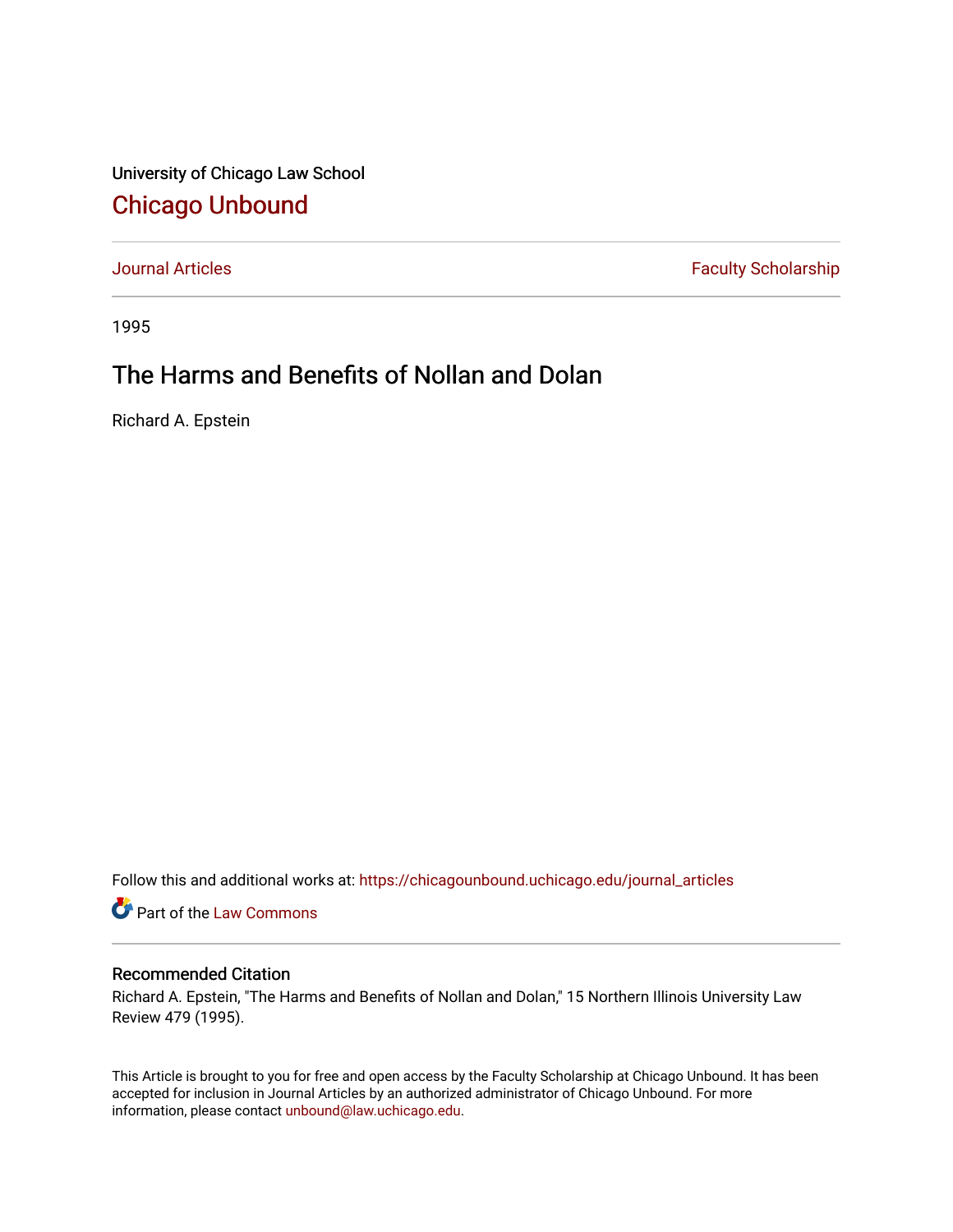University of Chicago Law School [Chicago Unbound](https://chicagounbound.uchicago.edu/)

[Journal Articles](https://chicagounbound.uchicago.edu/journal_articles) **Faculty Scholarship Faculty Scholarship** 

1995

# The Harms and Benefits of Nollan and Dolan

Richard A. Epstein

Follow this and additional works at: [https://chicagounbound.uchicago.edu/journal\\_articles](https://chicagounbound.uchicago.edu/journal_articles?utm_source=chicagounbound.uchicago.edu%2Fjournal_articles%2F1334&utm_medium=PDF&utm_campaign=PDFCoverPages) 

Part of the [Law Commons](http://network.bepress.com/hgg/discipline/578?utm_source=chicagounbound.uchicago.edu%2Fjournal_articles%2F1334&utm_medium=PDF&utm_campaign=PDFCoverPages)

# Recommended Citation

Richard A. Epstein, "The Harms and Benefits of Nollan and Dolan," 15 Northern Illinois University Law Review 479 (1995).

This Article is brought to you for free and open access by the Faculty Scholarship at Chicago Unbound. It has been accepted for inclusion in Journal Articles by an authorized administrator of Chicago Unbound. For more information, please contact [unbound@law.uchicago.edu](mailto:unbound@law.uchicago.edu).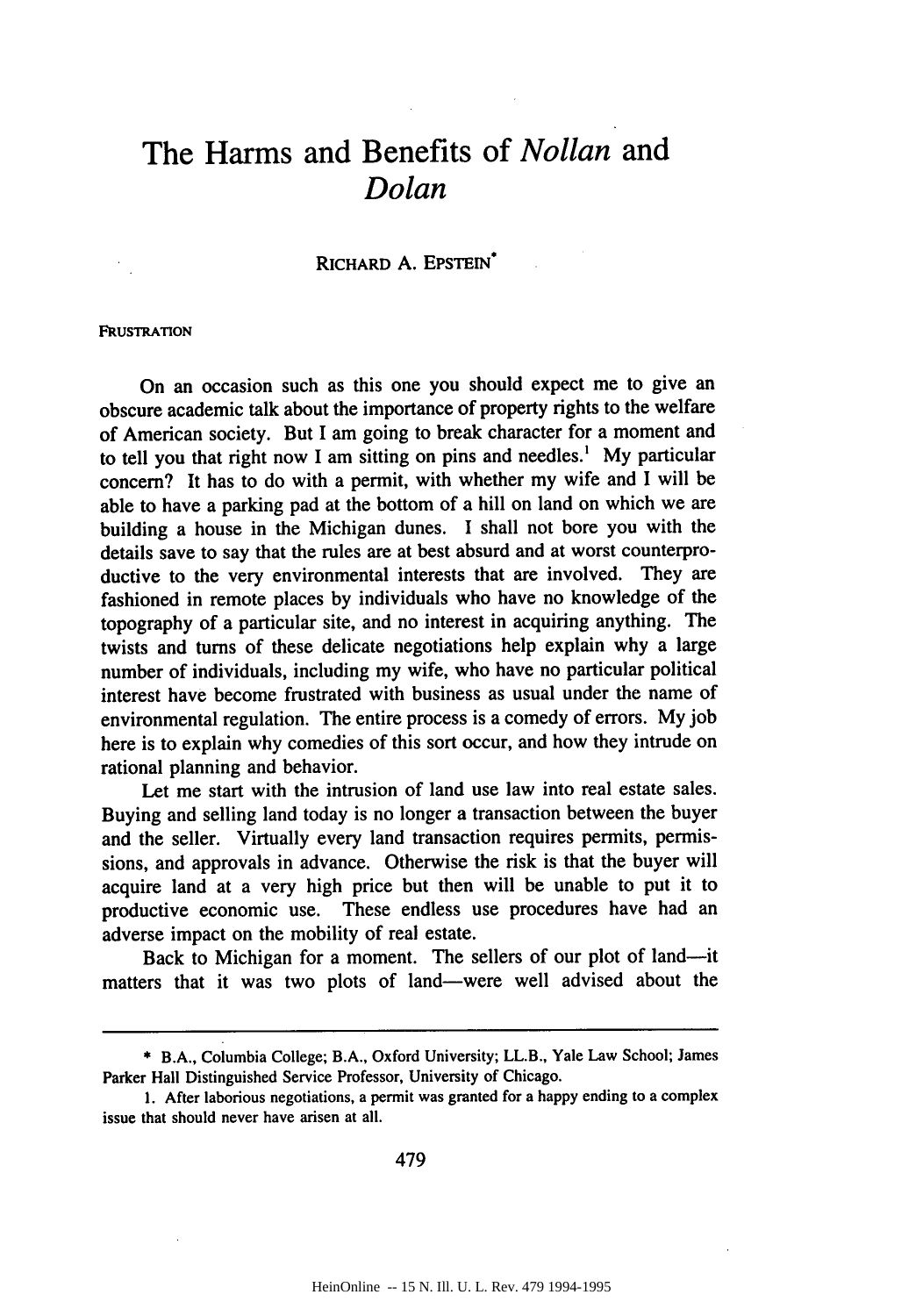# **The Harms and Benefits of** *Nollan* **and** *Dolan*

# RICHARD **A.** EPSTEIN\*

## **FRUSTRATION**

On an occasion such as this one you should expect me to give an obscure academic talk about the importance of property rights to the welfare of American society. But I am going to break character for a moment and to tell you that right now I am sitting on pins and needles.' My particular concern? It has to do with a permit, with whether my wife and I will be able to have a parking pad at the bottom of a hill on land on which we are building a house in the Michigan dunes. I shall not bore you with the details save to say that the rules are at best absurd and at worst counterproductive to the very environmental interests that are involved. They are fashioned in remote places by individuals who have no knowledge of the topography of a particular site, and no interest in acquiring anything. The twists and turns of these delicate negotiations help explain why a large number of individuals, including my wife, who have no particular political interest have become frustrated with business as usual under the name of environmental regulation. The entire process is a comedy of errors. My job here is to explain why comedies of this sort occur, and how they intrude on rational planning and behavior.

Let me start with the intrusion of land use law into real estate sales. Buying and selling land today is no longer a transaction between the buyer and the seller. Virtually every land transaction requires permits, permissions, and approvals in advance. Otherwise the risk is that the buyer will acquire land at a very high price but then will be unable to put it to productive economic use. These endless use procedures have had an adverse impact on the mobility of real estate.

Back to Michigan for a moment. The sellers of our plot of land—it matters that it was two plots of land-were well advised about the

479

<sup>\*</sup> B.A., Columbia College; B.A., Oxford University; LL.B., Yale Law School; James Parker Hall Distinguished Service Professor, University of Chicago.

<sup>1.</sup> After laborious negotiations, a permit was granted for a happy ending to a complex issue that should never have arisen at all.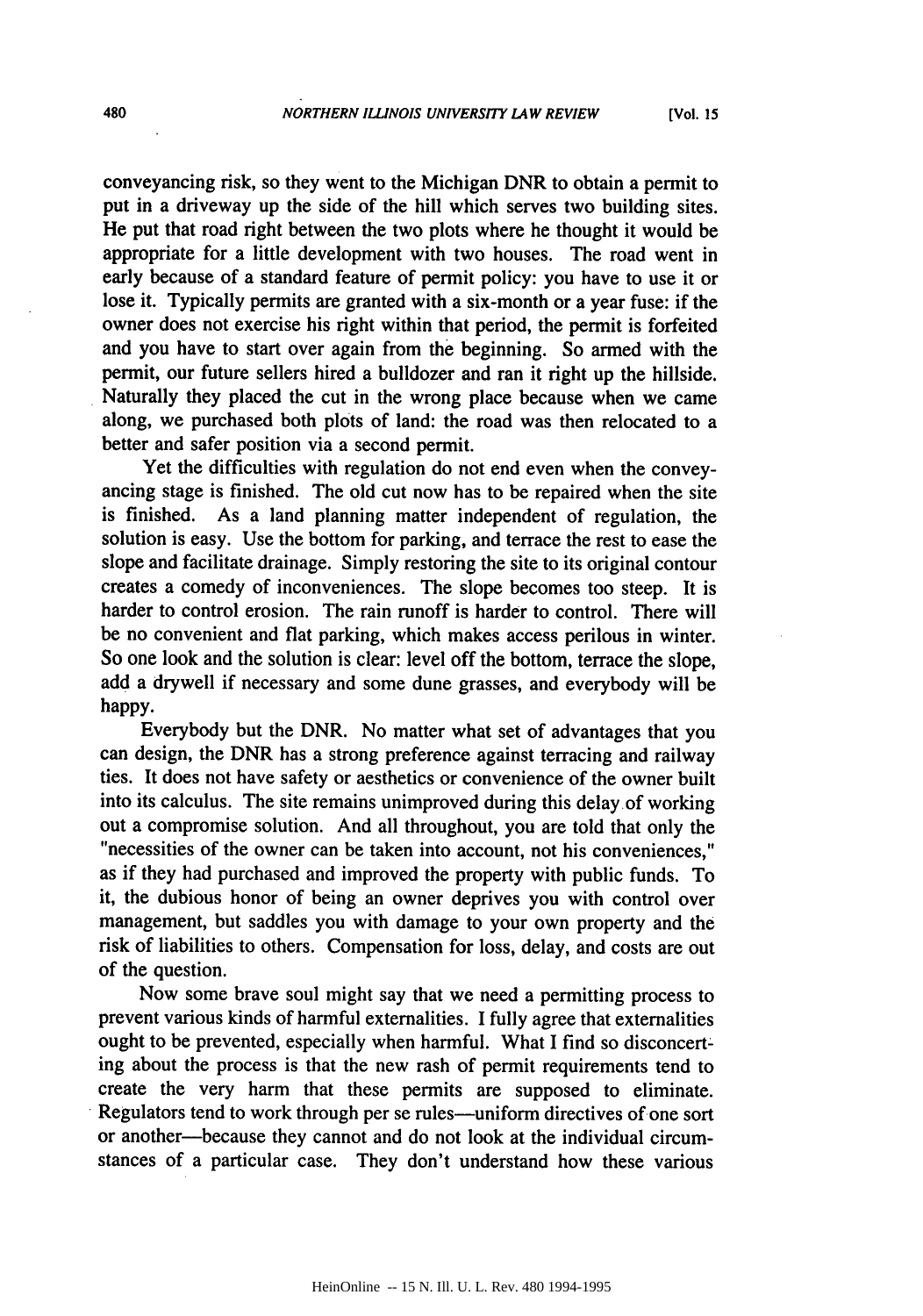conveyancing risk, so they went to the Michigan DNR to obtain a permit to put in a driveway up the side of the hill which serves two building sites. He put that road right between the two plots where he thought it would be appropriate for a little development with two houses. The road went in early because of a standard feature of permit policy: you have to use it or lose it. Typically permits are granted with a six-month or a year fuse: if the owner does not exercise his right within that period, the permit is forfeited and you have to start over again from the beginning. So armed with the permit, our future sellers hired a bulldozer and ran it right up the hillside. Naturally they placed the cut in the wrong place because when we came along, we purchased both plots of land: the road was then relocated to a better and safer position via a second permit.

Yet the difficulties with regulation do not end even when the conveyancing stage is finished. The old cut now has to be repaired when the site is finished. As a land planning matter independent of regulation, the solution is easy. Use the bottom for parking, and terrace the rest to ease the slope and facilitate drainage. Simply restoring the site to its original contour creates a comedy of inconveniences. The slope becomes too steep. It is harder to control erosion. The rain runoff is harder to control. There will be no convenient and flat parking, which makes access perilous in winter. So one look and the solution is clear: level off the bottom, terrace the slope, add a drywell if necessary and some dune grasses, and everybody will be happy.

Everybody but the DNR. No matter what set of advantages that you can design, the DNR has a strong preference against terracing and railway ties. It does not have safety or aesthetics or convenience of the owner built into its calculus. The site remains unimproved during this delay of working out a compromise solution. And all throughout, you are told that only the "necessities of the owner can be taken into account, not his conveniences," as if they had purchased and improved the property with public funds. To it, the dubious honor of being an owner deprives you with control over management, but saddles you with damage to your own property and the risk of liabilities to others. Compensation for loss, delay, and costs are out of the question.

Now some brave soul might say that we need a permitting process to prevent various kinds of harmful externalities. I fully agree that externalities ought to be prevented, especially when harmful. What I find so disconcert: ing about the process is that the new rash of permit requirements tend to create the very harm that these permits are supposed to eliminate. Regulators tend to work through per se rules-uniform directives of one sort or another-because they cannot and do not look at the individual circumstances of a particular case. They don't understand how these various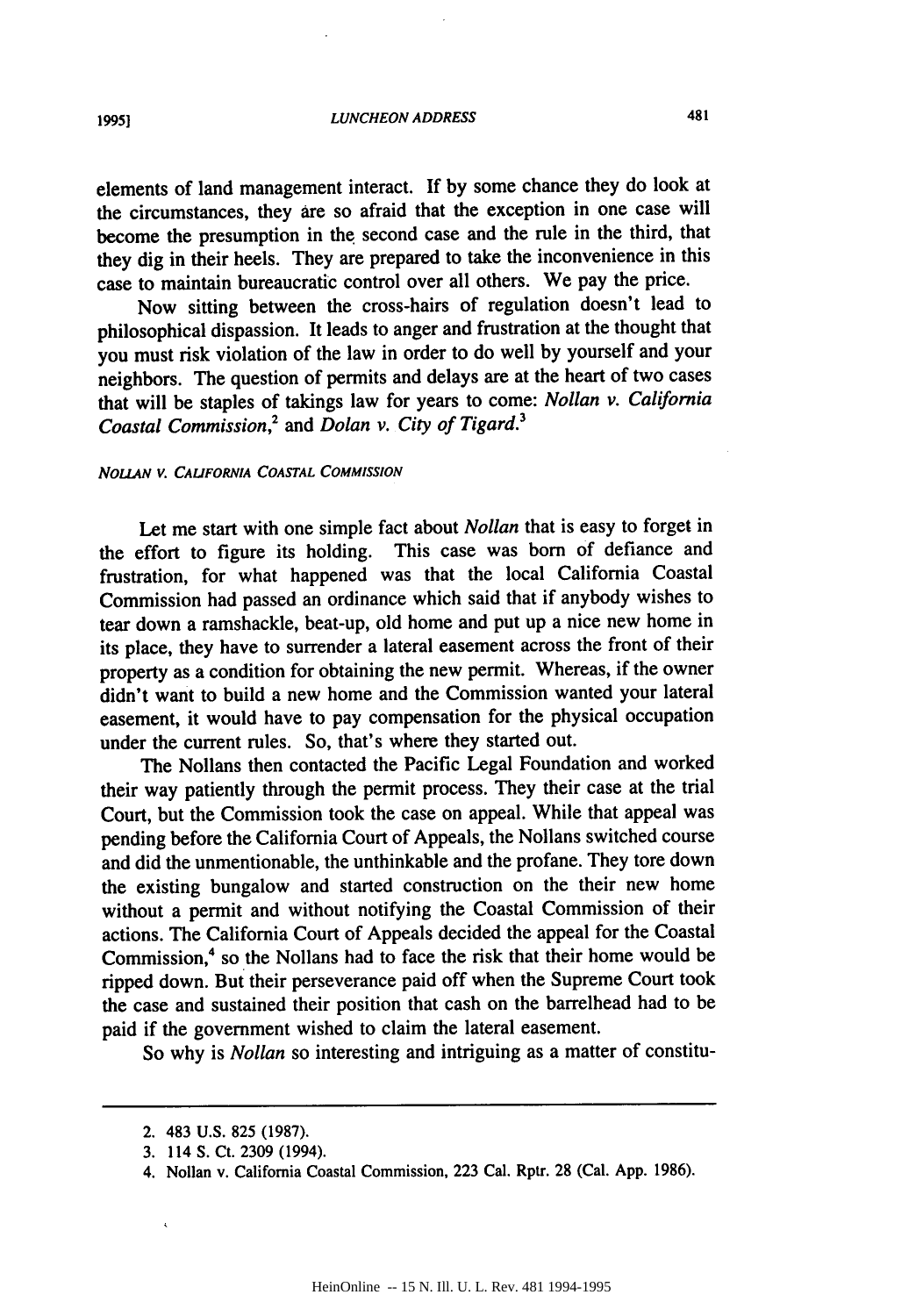elements of land management interact. **If by** some chance they do look at the circumstances, they are so afraid that the exception in one case will become the presumption in the second case and the rule in the third, that they dig in their heels. They are prepared to take the inconvenience in this case to maintain bureaucratic control over all others. We pay the price.

Now sitting between the cross-hairs of regulation doesn't lead to philosophical dispassion. It leads to anger and frustration at the thought that you must risk violation of the law in order to do well by yourself and your neighbors. The question of permits and delays are at the heart of two cases that will be staples of takings law for years to come: *Nollan v. California Coastal Commission,2 and Dolan v. City of Tigard.*

## *NOuAN v.* **CALIFORNIA COASTAL COMMISSION**

Let me start with one simple fact about *Nollan* that is easy to forget in the effort to figure its holding. This case was born of defiance and frustration, for what happened was that the local California Coastal Commission had passed an ordinance which said that if anybody wishes to tear down a ramshackle, beat-up, old home and put up a nice new home in its place, they have to surrender a lateral easement across the front of their property as a condition for obtaining the new permit. Whereas, if the owner didn't want to build a new home and the Commission wanted your lateral easement, it would have to pay compensation for the physical occupation under the current rules. So, that's where they started out.

The Nollans then contacted the Pacific Legal Foundation and worked their way patiently through the permit process. They their case at the trial Court, but the Commission took the case on appeal. While that appeal was pending before the California Court of Appeals, the Nollans switched course and did the unmentionable, the unthinkable and the profane. They tore down the existing bungalow and started construction on the their new home without a permit and without notifying the Coastal Commission of their actions. The California Court of Appeals decided the appeal for the Coastal Commission,<sup>4</sup> so the Nollans had to face the risk that their home would be ripped down. But their perseverance paid off when the Supreme Court took the case and sustained their position that cash on the barrelhead had to be paid if the government wished to claim the lateral easement.

So why is *Nollan* so interesting and intriguing as a matter of constitu-

<sup>2. 483</sup> U.S. 825 (1987).

<sup>3. 114</sup> S. Ct. 2309 (1994).

<sup>4.</sup> Nollan v. California Coastal Commission, 223 Cal. Rptr. 28 (Cal. App. 1986).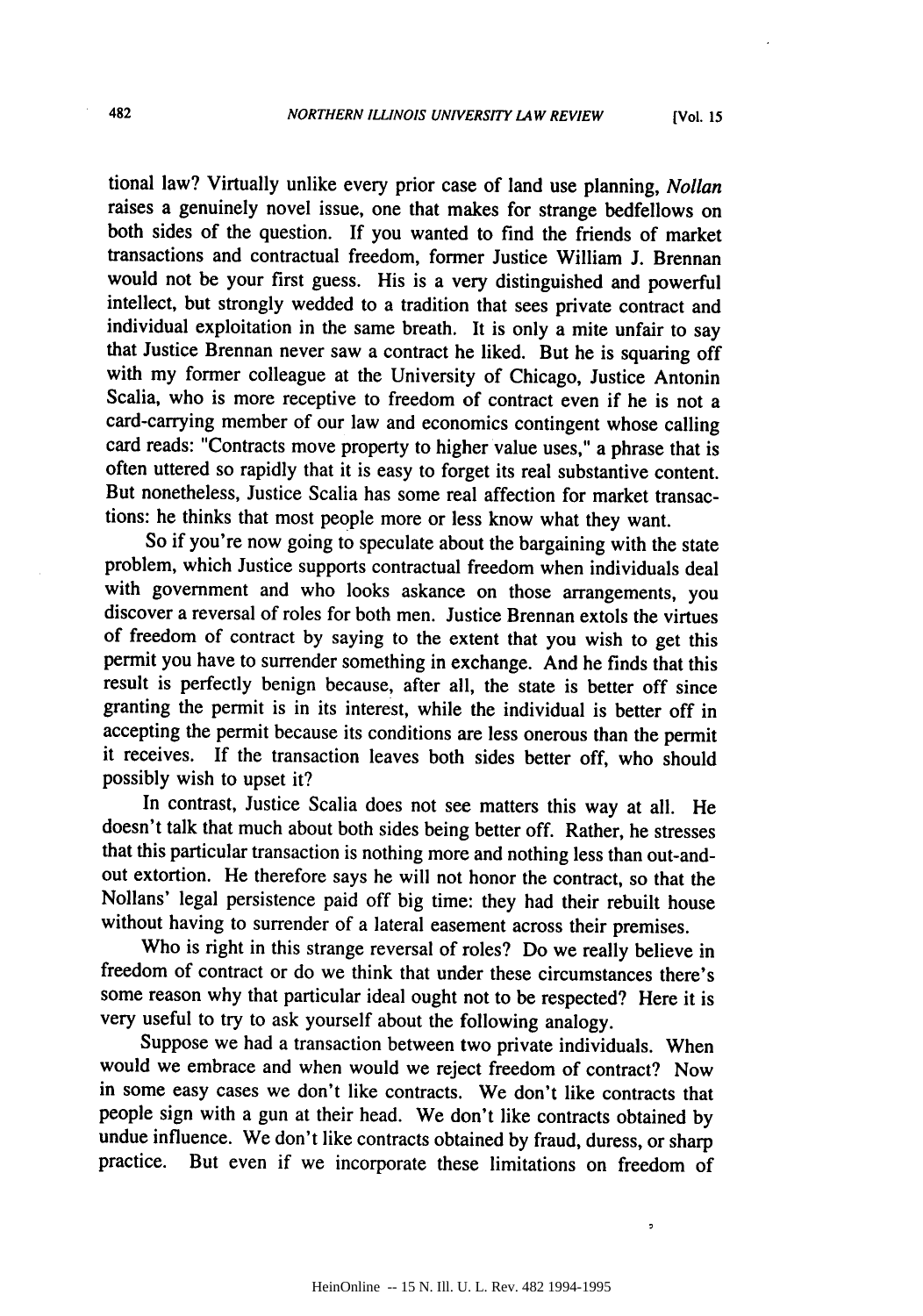tional law? Virtually unlike every prior case of land use planning, *Nollan* raises a genuinely novel issue, one that makes for strange bedfellows on both sides of the question. If you wanted to find the friends of market transactions and contractual freedom, former Justice William J. Brennan would not be your first guess. His is a very distinguished and powerful intellect, but strongly wedded to a tradition that sees private contract and individual exploitation in the same breath. It is only a mite unfair to say that Justice Brennan never saw a contract he liked. But he is squaring off with my former colleague at the University of Chicago, Justice Antonin Scalia, who is more receptive to freedom of contract even if he is not a card-carrying member of our law and economics contingent whose calling card reads: "Contracts move property to higher value uses," a phrase that is often uttered so rapidly that it is easy to forget its real substantive content. But nonetheless, Justice Scalia has some real affection for market transactions: he thinks that most people more or less know what they want.

So if you're now going to speculate about the bargaining with the state problem, which Justice supports contractual freedom when individuals deal with government and who looks askance on those arrangements, you discover a reversal of roles for both men. Justice Brennan extols the virtues of freedom of contract by saying to the extent that you wish to get this permit you have to surrender something in exchange. And he finds that this result is perfectly benign because, after all, the state is better off since granting the permit is in its interest, while the individual is better off in accepting the permit because its conditions are less onerous than the permit it receives. If the transaction leaves both sides better off, who should possibly wish to upset it?

In contrast, Justice Scalia does not see matters this way at all. He doesn't talk that much about both sides being better off. Rather, he stresses that this particular transaction is nothing more and nothing less than out-andout extortion. He therefore says he will not honor the contract, so that the Nollans' legal persistence paid off big time: they had their rebuilt house without having to surrender of a lateral easement across their premises.

Who is right in this strange reversal of roles? Do we really believe in freedom of contract or do we think that under these circumstances there's some reason why that particular ideal ought not to be respected? Here it is very useful to try to ask yourself about the following analogy.

Suppose we had a transaction between two private individuals. When would we embrace and when would we reject freedom of contract? Now in some easy cases we don't like contracts. We don't like contracts that people sign with a gun at their head. We don't like contracts obtained by undue influence. We don't like contracts obtained by fraud, duress, or sharp practice. But even if we incorporate these limitations on freedom of

 $\overline{a}$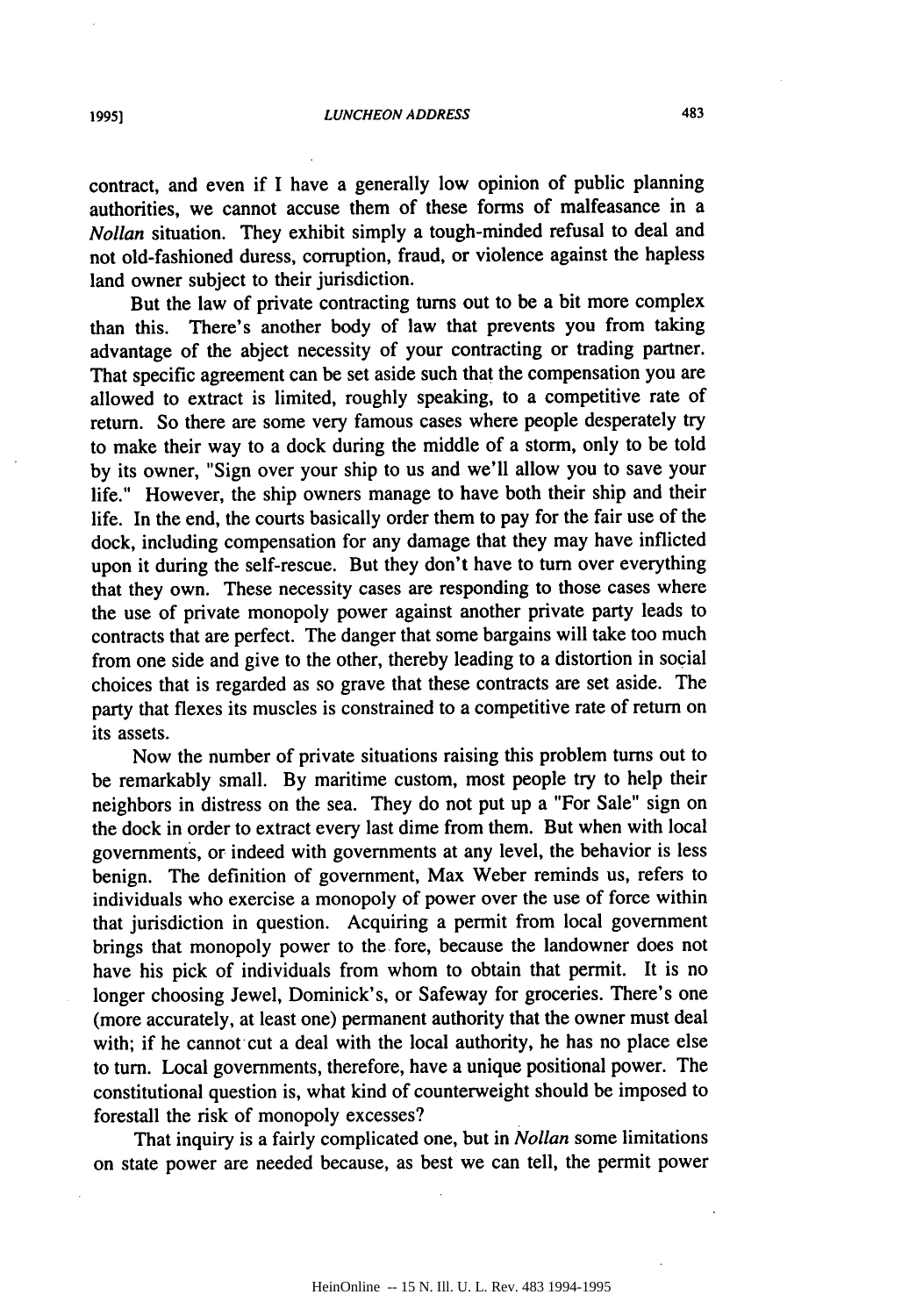contract, and even if **I** have a generally low opinion of public planning authorities, we cannot accuse them of these forms of malfeasance in a *Nollan* situation. They exhibit simply a tough-minded refusal to deal and not old-fashioned duress, corruption, fraud, or violence against the hapless land owner subject to their jurisdiction.

But the law of private contracting turns out to be a bit more complex than this. There's another body of law that prevents you from taking advantage of the abject necessity of your contracting or trading partner. That specific agreement can be set aside such that the compensation you are allowed to extract is limited, roughly speaking, to a competitive rate of return. So there are some very famous cases where people desperately try to make their way to a dock during the middle of a storm, only to be told by its owner, "Sign over your ship to us and we'll allow you to save your life." However, the ship owners manage to have both their ship and their life. In the end, the courts basically order them to pay for the fair use of the dock, including compensation for any damage that they may have inflicted upon it during the self-rescue. But they don't have to turn over everything that they own. These necessity cases are responding to those cases where the use of private monopoly power against another private party leads to contracts that are perfect. The danger that some bargains will take too much from one side and give to the other, thereby leading to a distortion in social choices that is regarded as so grave that these contracts are set aside. The party that flexes its muscles is constrained to a competitive rate of return on its assets.

Now the number of private situations raising this problem turns out to be remarkably small. By maritime custom, most people try to help their neighbors in distress on the sea. They do not put up a "For Sale" sign on the dock in order to extract every last dime from them. But when with local governments, or indeed with governments at any level, the behavior is less benign. The definition of government, Max Weber reminds us, refers to individuals who exercise a monopoly of power over the use of force within that jurisdiction in question. Acquiring a permit from local government brings that monopoly power to the fore, because the landowner does not have his pick of individuals from whom to obtain that permit. It is no longer choosing Jewel, Dominick's, or Safeway for groceries. There's one (more accurately, at least one) permanent authority that the owner must deal with; if he cannot cut a deal with the local authority, he has no place else to turn. Local governments, therefore, have a unique positional power. The constitutional question is, what kind of counterweight should be imposed to forestall the risk of monopoly excesses?

That inquiry is a fairly complicated one, but in *Nollan* some limitations on state power are needed because, as best we can tell, the permit power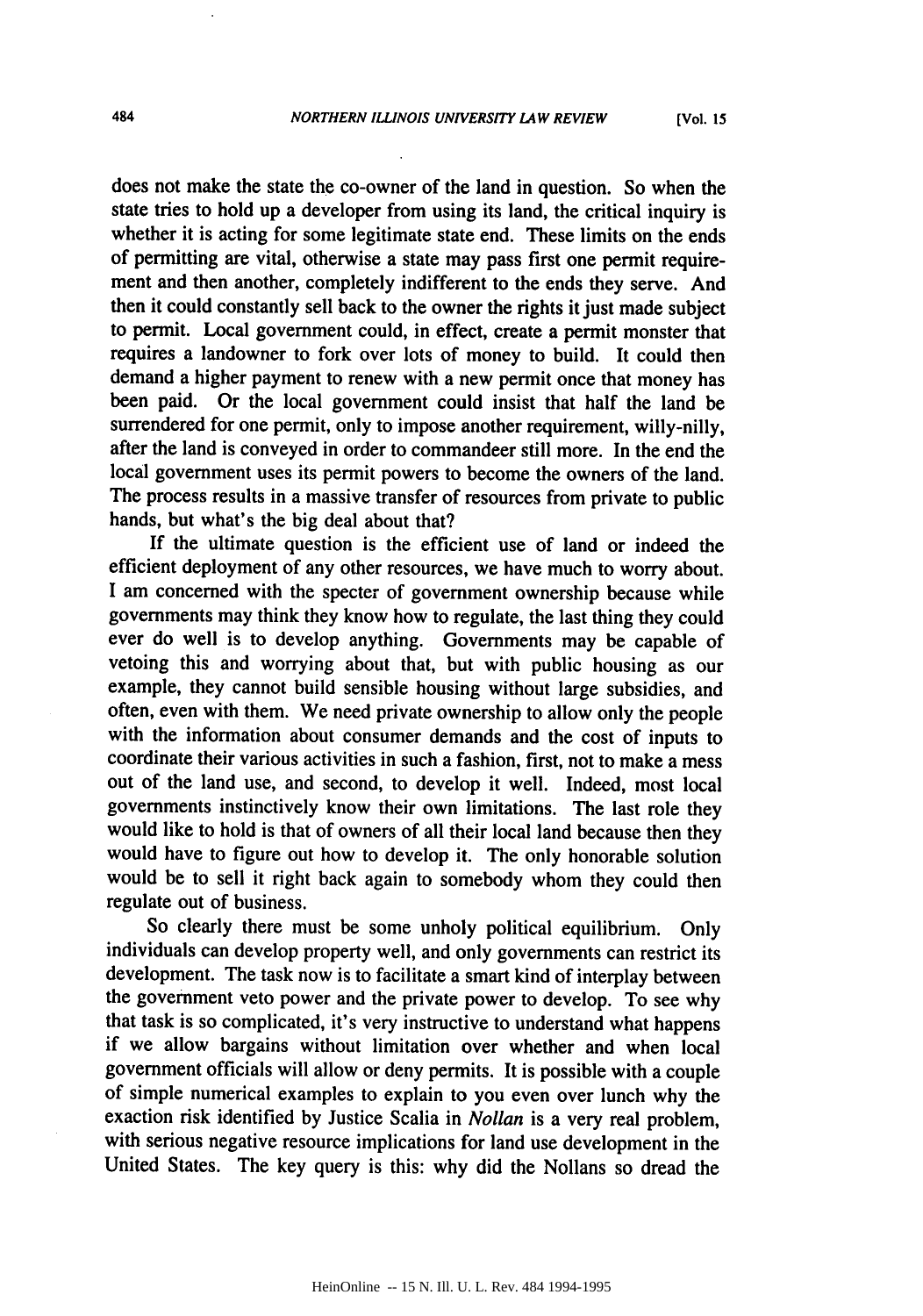does not make the state the co-owner of the land in question. So when the state tries to hold up a developer from using its land, the critical inquiry is whether it is acting for some legitimate state end. These limits on the ends of permitting are vital, otherwise a state may pass first one permit requirement and then another, completely indifferent to the ends they serve. And then it could constantly sell back to the owner the rights it just made subject to permit. Local government could, in effect, create a permit monster that requires a landowner to fork over lots of money to build. It could then demand a higher payment to renew with a new permit once that money has been paid. Or the local government could insist that half the land be surrendered for one permit, only to impose another requirement, willy-nilly, after the land is conveyed in order to commandeer still more. In the end the local government uses its permit powers to become the owners of the land. The process results in a massive transfer of resources from private to public hands, but what's the big deal about that?

If the ultimate question is the efficient use of land or indeed the efficient deployment of any other resources, we have much to worry about. I am concerned with the specter of government ownership because while governments may think they know how to regulate, the last thing they could ever do well is to develop anything. Governments may be capable of vetoing this and worrying about that, but with public housing as our example, they cannot build sensible housing without large subsidies, and often, even with them. We need private ownership to allow only the people with the information about consumer demands and the cost of inputs to coordinate their various activities in such a fashion, first, not to make a mess out of the land use, and second, to develop it well. Indeed, most local governments instinctively know their own limitations. The last role they would like to hold is that of owners of all their local land because then they would have to figure out how to develop it. The only honorable solution would be to sell it right back again to somebody whom they could then regulate out of business.

So clearly there must be some unholy political equilibrium. Only individuals can develop property well, and only governments can restrict its development. The task now is to facilitate a smart kind of interplay between the government veto power and the private power to develop. To see why that task is so complicated, it's very instructive to understand what happens if we allow bargains without limitation over whether and when local government officials will allow or deny permits. It is possible with a couple of simple numerical examples to explain to you even over lunch why the exaction risk identified by Justice Scalia in *Nollan* is a very real problem, with serious negative resource implications for land use development in the United States. The key query is this: why did the Nollans so dread the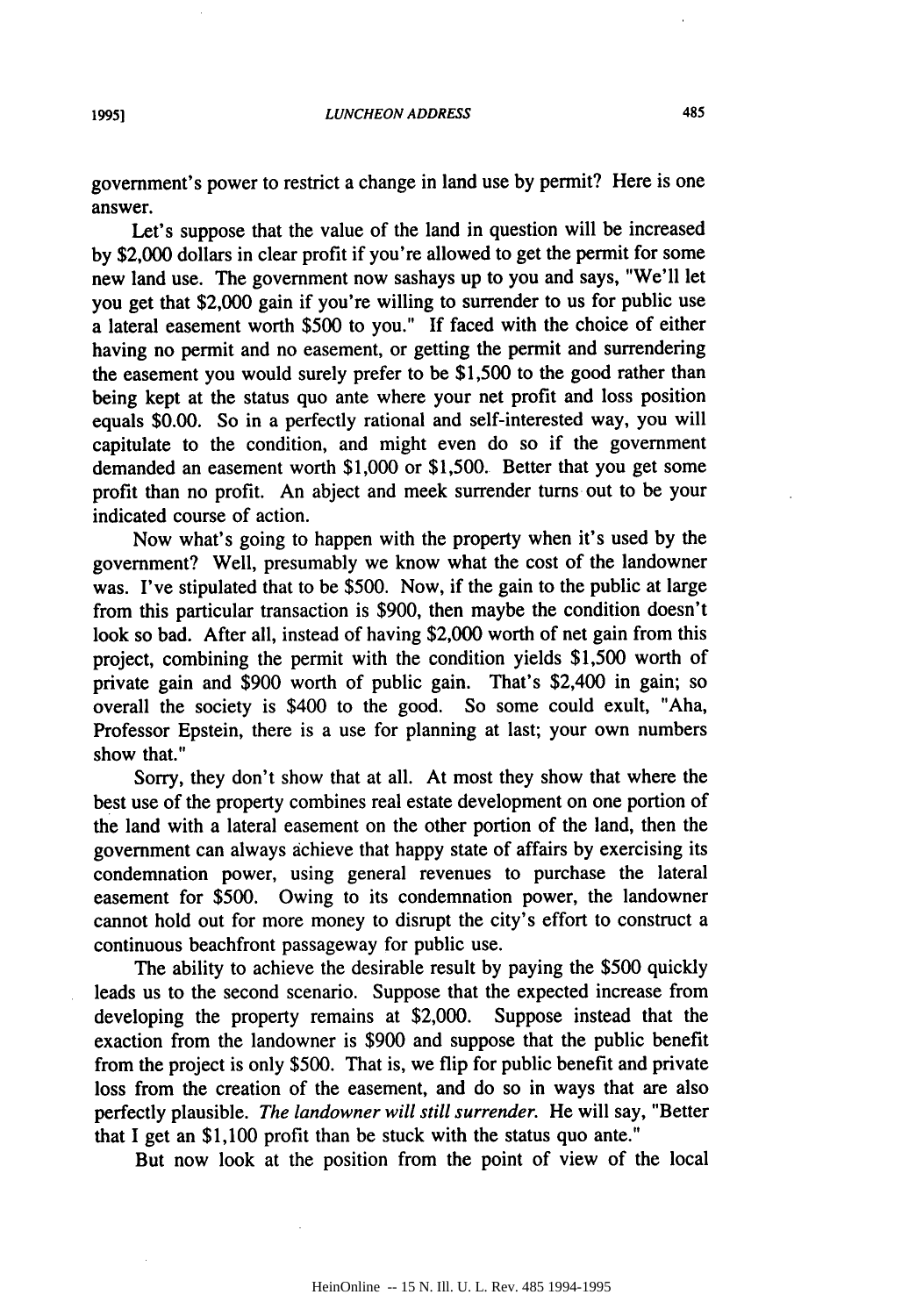government's power to restrict a change in land use by permit? Here is one answer.

Let's suppose that the value of the land in question will be increased by \$2,000 dollars in clear profit if you're allowed to get the permit for some new land use. The government now sashays up to you and says, "We'll let you get that \$2,000 gain if you're willing to surrender to us for public use a lateral easement worth \$500 to you." If faced with the choice of either having no permit and no easement, or getting the permit and surrendering the easement you would surely prefer to be \$1,500 to the good rather than being kept at the status quo ante where your net profit and loss position equals \$0.00. So in a perfectly rational and self-interested way, you will capitulate to the condition, and might even do so if the government demanded an easement worth \$1,000 or \$1,500. Better that you get some profit than no profit. An abject and meek surrender turns out to be your indicated course of action.

Now what's going to happen with the property when it's used by the government? Well, presumably we know what the cost of the landowner was. I've stipulated that to be \$500. Now, if the gain to the public at large from this particular transaction is \$900, then maybe the condition doesn't look so bad. After all, instead of having \$2,000 worth of net gain from this project, combining the permit with the condition yields \$1,500 worth of private gain and \$900 worth of public gain. That's \$2,400 in gain; so overall the society is \$400 to the good. So some could exult, "Aha, Professor Epstein, there is a use for planning at last; your own numbers show that."

Sorry, they don't show that at all. At most they show that where the best use of the property combines real estate development on one portion of the land with a lateral easement on the other portion of the land, then the government can always achieve that happy state of affairs by exercising its condemnation power, using general revenues to purchase the lateral easement for \$500. Owing to its condemnation power, the landowner cannot hold out for more money to disrupt the city's effort to construct a continuous beachfront passageway for public use.

The ability to achieve the desirable result by paying the \$500 quickly leads us to the second scenario. Suppose that the expected increase from developing the property remains at \$2,000. Suppose instead that the exaction from the landowner is \$900 and suppose that the public benefit from the project is only \$500. That is, we flip for public benefit and private loss from the creation of the easement, and do so in ways that are also perfectly plausible. *The landowner will still surrender.* He will say, "Better that I get an \$1,100 profit than be stuck with the status quo ante."

But now look at the position from the point of view of the local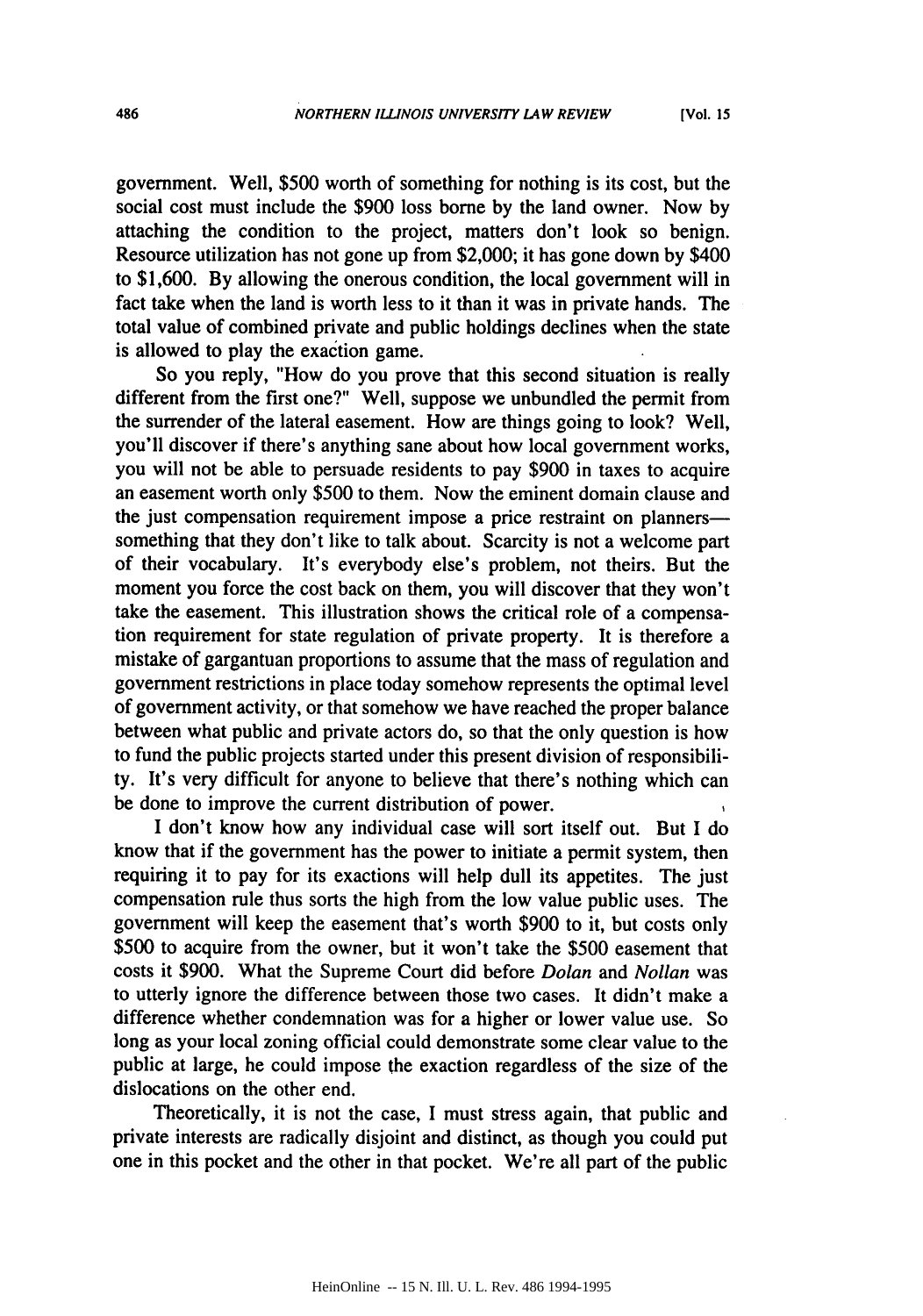government. Well, \$500 worth of something for nothing is its cost, but the social cost must include the \$900 loss borne by the land owner. Now by attaching the condition to the project, matters don't look so benign. Resource utilization has not gone up from \$2,000; it has gone down by \$400 to \$1,600. By allowing the onerous condition, the local government will in fact take when the land is worth less to it than it was in private hands. The total value of combined private and public holdings declines when the state is allowed to play the exaction game.

So you reply, "How do you prove that this second situation is really different from the first one?" Well, suppose we unbundled the permit from the surrender of the lateral easement. How are things going to look? Well, you'll discover if there's anything sane about how local government works, you will not be able to persuade residents to pay **\$900** in taxes to acquire an easement worth only **\$500** to them. Now the eminent domain clause and the just compensation requirement impose a price restraint on plannerssomething that they don't like to talk about. Scarcity is not a welcome part of their vocabulary. It's everybody else's problem, not theirs. But the moment you force the cost back on them, you will discover that they won't take the easement. This illustration shows the critical role of a compensation requirement for state regulation of private property. It is therefore a mistake of gargantuan proportions to assume that the mass of regulation and government restrictions in place today somehow represents the optimal level of government activity, or that somehow we have reached the proper balance between what public and private actors do, so that the only question is how to fund the public projects started under this present division of responsibility. It's very difficult for anyone to believe that there's nothing which can be done to improve the current distribution of power.

I don't know how any individual case will sort itself out. But I do know that if the government has the power to initiate a permit system, then requiring it to pay for its exactions will help dull its appetites. The just compensation rule thus sorts the high from the low value public uses. The government will keep the easement that's worth \$900 to it, but costs only \$500 to acquire from the owner, but it won't take the \$500 easement that costs it \$900. What the Supreme Court did before *Dolan* and *Nollan* was to utterly ignore the difference between those two cases. It didn't make a difference whether condemnation was for a higher or lower value use. So long as your local zoning official could demonstrate some clear value to the public at large, he could impose the exaction regardless of the size of the dislocations on the other end.

Theoretically, it is not the case, I must stress again, that public and private interests are radically disjoint and distinct, as though you could put one in this pocket and the other in that pocket. We're all part of the public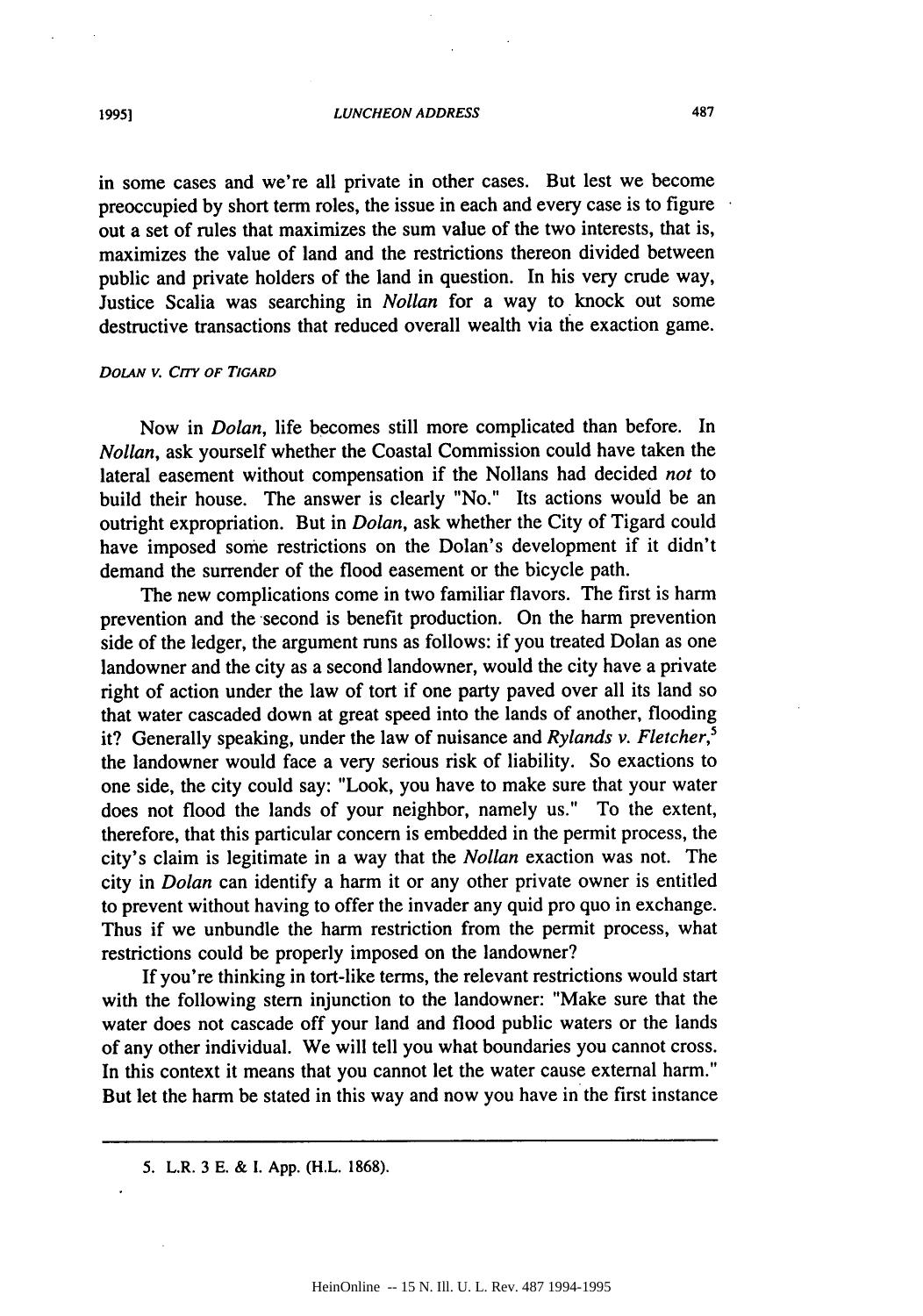487

in some cases and we're all private in other cases. But lest we become preoccupied by short term roles, the issue in each and every case is to figure out a set of rules that maximizes the sum value of the two interests, that is, maximizes the value of land and the restrictions thereon divided between public and private holders of the land in question. In his very crude way, Justice Scalia was searching in *Nollan* for a way to knock out some destructive transactions that reduced overall wealth via the exaction game.

### *DoLA, v.* **Cry** *OF TIGARD*

Now in *Dolan,* life becomes still more complicated than before. In *Nollan,* ask yourself whether the Coastal Commission could have taken the lateral easement without compensation if the Nollans had decided *not* to build their house. The answer is clearly "No." Its actions would be an outright expropriation. But in *Dolan,* ask whether the City of Tigard could have imposed some restrictions on the Dolan's development if it didn't demand the surrender of the flood easement or the bicycle path.

The new complications come in two familiar flavors. The first is harm prevention and the second is benefit production. On the harm prevention side of the ledger, the argument runs as follows: if you treated Dolan as one landowner and the city as a second landowner, would the city have a private right of action under the law of tort if one party paved over all its land so that water cascaded down at great speed into the lands of another, flooding it? Generally speaking, under the law of nuisance and *Rylands v. Fletcher,5* the landowner would face a very serious risk of liability. So exactions to one side, the city could say: "Look, you have to make sure that your water does not flood the lands of your neighbor, namely us." To the extent, therefore, that this particular concern is embedded in the permit process, the city's claim is legitimate in a way that the *Nollan* exaction was not. The city in *Dolan* can identify a harm it or any other private owner is entitled to prevent without having to offer the invader any quid pro quo in exchange. Thus if we unbundle the harm restriction from the permit process, what restrictions could be properly imposed on the landowner?

If you're thinking in tort-like terms, the relevant restrictions would start with the following stern injunction to the landowner: "Make sure that the water does not cascade off your land and flood public waters or the lands of any other individual. We will tell you what boundaries you cannot cross. In this context it means that you cannot let the water cause external harm." But let the harm be stated in this way and now you have in the first instance

**<sup>5.</sup>** L.R. 3 E. & I. App. (H.L. 1868).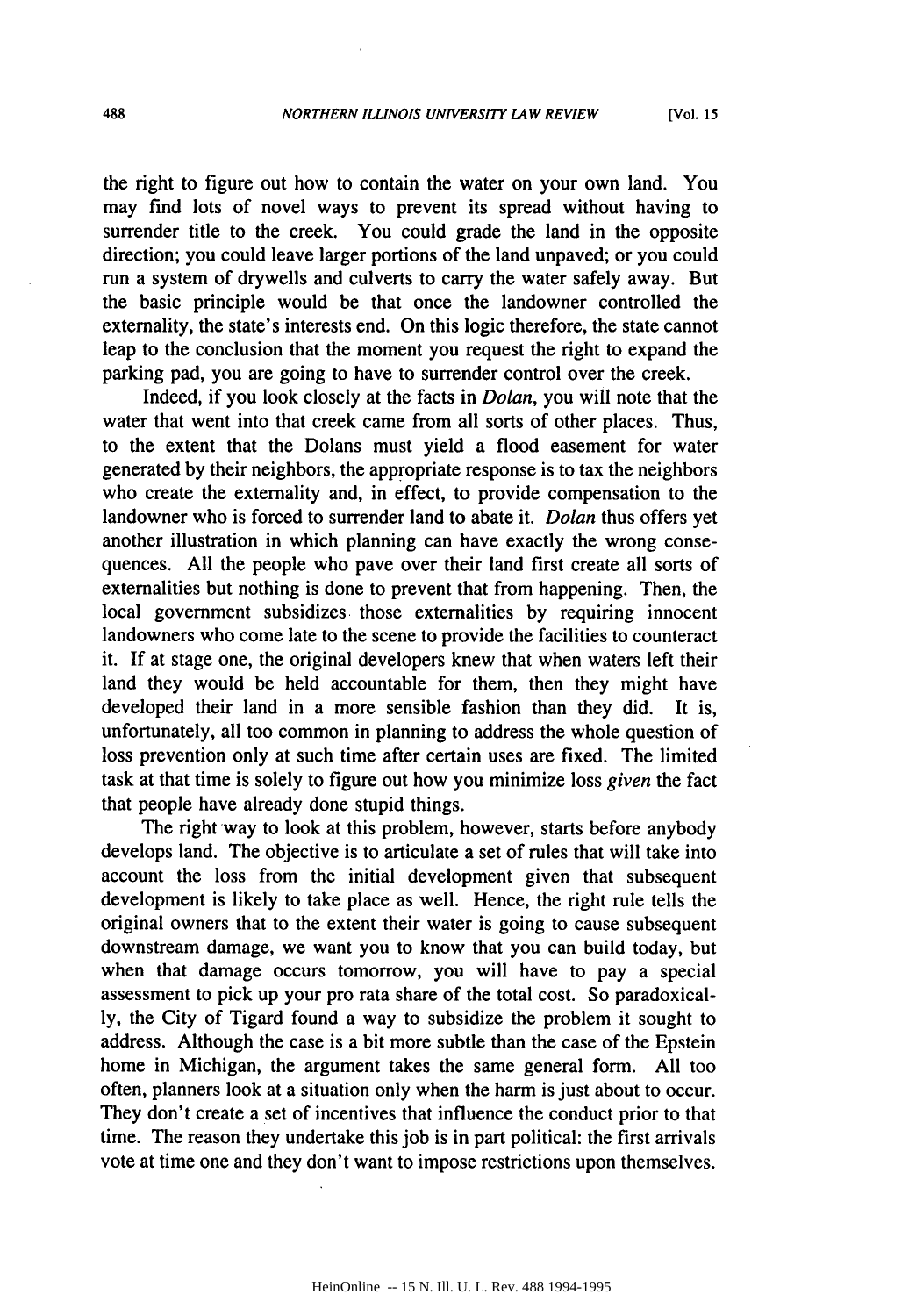the right to figure out how to contain the water on your own land. You may find lots of novel ways to prevent its spread without having to surrender title to the creek. You could grade the land in the opposite direction; you could leave larger portions of the land unpaved; or you could run a system of drywells and culverts to carry the water safely away. But the basic principle would be that once the landowner controlled the externality, the state's interests end. On this logic therefore, the state cannot leap to the conclusion that the moment you request the right to expand the parking pad, you are going to have to surrender control over the creek.

Indeed, if you look closely at the facts in *Dolan,* you will note that the water that went into that creek came from all sorts of other places. Thus, to the extent that the Dolans must yield a flood easement for water generated by their neighbors, the appropriate response is to tax the neighbors who create the externality and, in effect, to provide compensation to the landowner who is forced to surrender land to abate it. *Dolan* thus offers yet another illustration in which planning can have exactly the wrong consequences. All the people who pave over their land first create all sorts of externalities but nothing is done to prevent that from happening. Then, the local government subsidizes those externalities by requiring innocent landowners who come late to the scene to provide the facilities to counteract it. If at stage one, the original developers knew that when waters left their land they would be held accountable for them, then they might have developed their land in a more sensible fashion than they did. It is, unfortunately, all too common in planning to address the whole question of loss prevention only at such time after certain uses are fixed. The limited task at that time is solely to figure out how you minimize loss *given* the fact that people have already done stupid things.

The right way to look at this problem, however, starts before anybody develops land. The objective is to articulate a set of rules that will take into account the loss from the initial development given that subsequent development is likely to take place as well. Hence, the right rule tells the original owners that to the extent their water is going to cause subsequent downstream damage, we want you to know that you can build today, but when that damage occurs tomorrow, you will have to pay a special assessment to pick up your pro rata share of the total cost. So paradoxically, the City of Tigard found a way to subsidize the problem it sought to address. Although the case is a bit more subtle than the case of the Epstein home in Michigan, the argument takes the same general form. All too often, planners look at a situation only when the harm is just about to occur. They don't create a set of incentives that influence the conduct prior to that time. The reason they undertake this job is in part political: the first arrivals vote at time one and they don't want to impose restrictions upon themselves.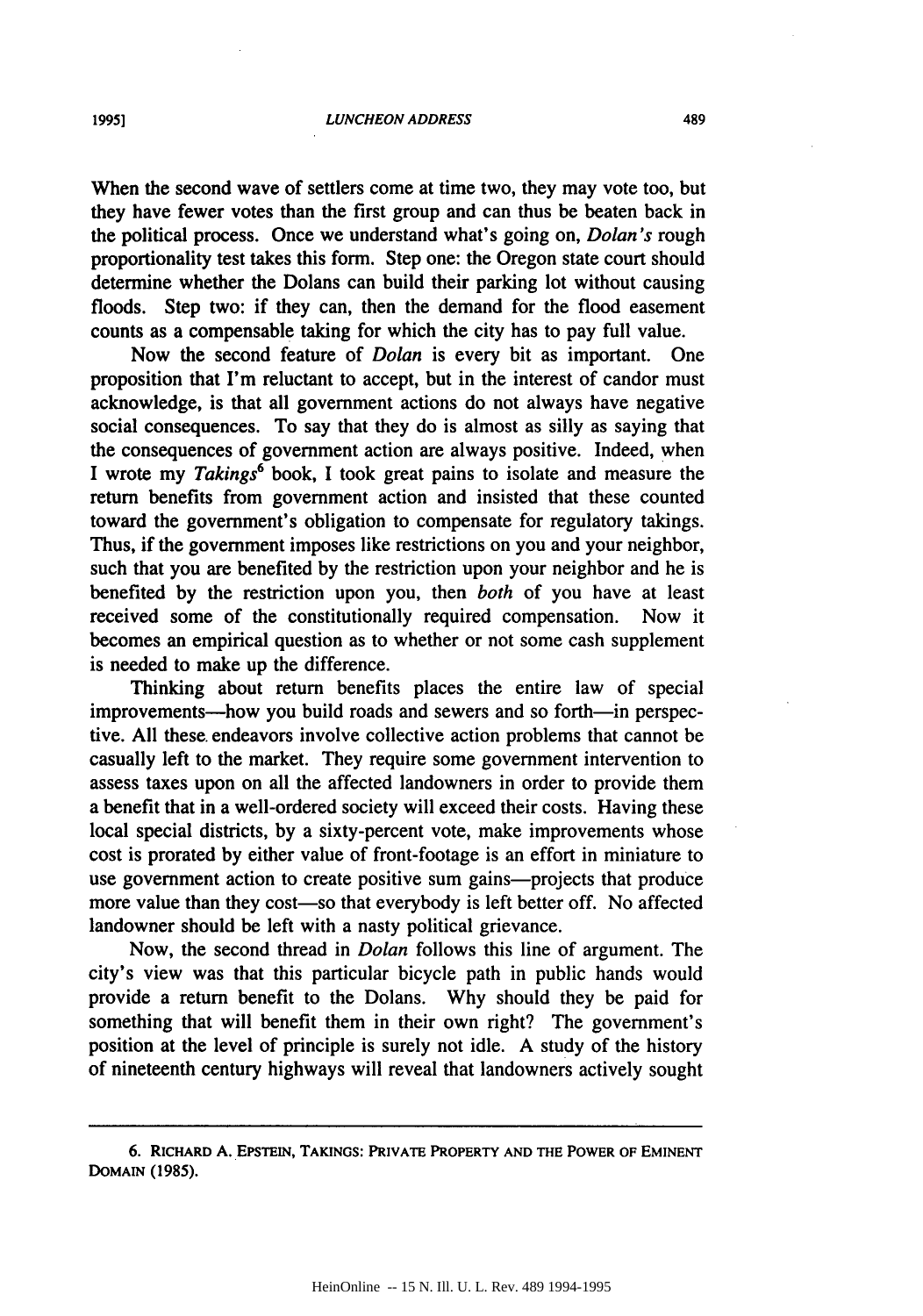When the second wave of settlers come at time two, they may vote too, but they have fewer votes than the first group and can thus be beaten back in the political process. Once we understand what's going on, *Dolan's* rough proportionality test takes this form. Step one: the Oregon state court should determine whether the Dolans can build their parking lot without causing floods. Step two: if they can, then the demand for the flood easement counts as a compensable taking for which the city has to pay full value.

Now the second feature of *Dolan* is every bit as important. One proposition that I'm reluctant to accept, but in the interest of candor must acknowledge, is that all government actions do not always have negative social consequences. To say that they do is almost as silly as saying that the consequences of government action are always positive. Indeed, when I wrote my *Takings6* book, I took great pains to isolate and measure the return benefits from government action and insisted that these counted toward the government's obligation to compensate for regulatory takings. Thus, if the government imposes like restrictions on you and your neighbor, such that you are benefited by the restriction upon your neighbor and he is benefited by the restriction upon you, then *both* of you have at least received some of the constitutionally required compensation. Now it becomes an empirical question as to whether or not some cash supplement is needed to make up the difference.

Thinking about return benefits places the entire law of special improvements-how you build roads and sewers and so forth-in perspective. All these. endeavors involve collective action problems that cannot be casually left to the market. They require some government intervention to assess taxes upon on all the affected landowners in order to provide them a benefit that in a well-ordered society will exceed their costs. Having these local special districts, by a sixty-percent vote, make improvements whose cost is prorated by either value of front-footage is an effort in miniature to use government action to create positive sum gains—projects that produce more value than they cost—so that everybody is left better off. No affected landowner should be left with a nasty political grievance.

Now, the second thread in *Dolan* follows this line of argument. The city's view was that this particular bicycle path in public hands would provide a return benefit to the Dolans. Why should they be paid for something that will benefit them in their own right? The government's position at the level of principle is surely not idle. A study of the history of nineteenth century highways will reveal that landowners actively sought

<sup>6.</sup> **RICHARD A. EPSTEIN, TAKINGS: PRIVATE PROPERTY AND THE POWER OF EMINENT DOMAIN (1985).**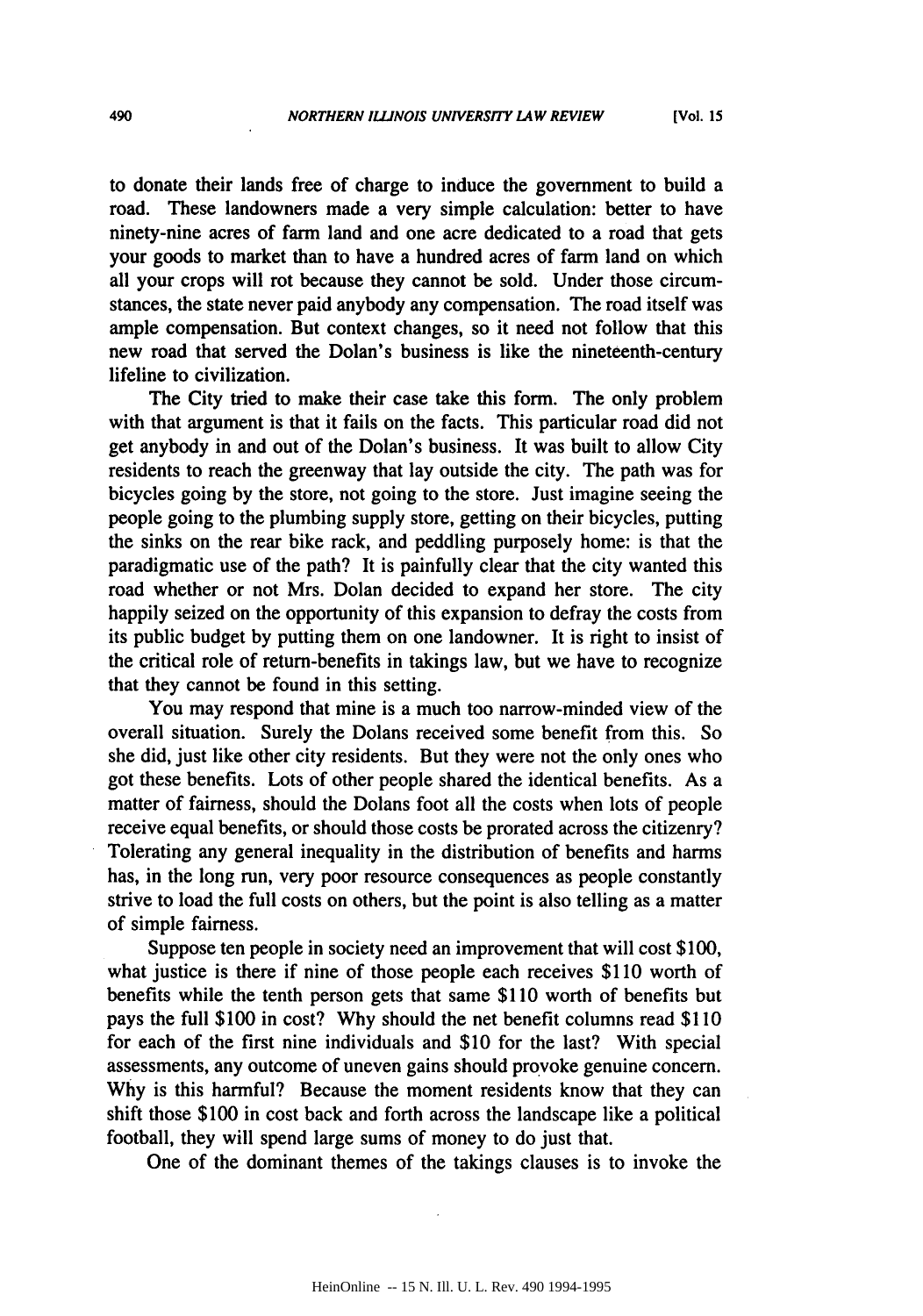to donate their lands free of charge to induce the government to build a road. These landowners made a very simple calculation: better to have ninety-nine acres of farm land and one acre dedicated to a road that gets your goods to market than to have a hundred acres of farm land on which all your crops will rot because they cannot be sold. Under those circumstances, the state never paid anybody any compensation. The road itself was ample compensation. But context changes, so it need not follow that this new road that served the Dolan's business is like the nineteenth-century lifeline to civilization.

The City tried to make their case take this form. The only problem with that argument is that it fails on the facts. This particular road did not get anybody in and out of the Dolan's business. It was built to allow City residents to reach the greenway that lay outside the city. The path was for bicycles going by the store, not going to the store. Just imagine seeing the people going to the plumbing supply store, getting on their bicycles, putting the sinks on the rear bike rack, and peddling purposely home: is that the paradigmatic use of the path? It is painfully clear that the city wanted this road whether or not Mrs. Dolan decided to expand her store. The city happily seized on the opportunity of this expansion to defray the costs from its public budget by putting them on one landowner. It is right to insist of the critical role of return-benefits in takings law, but we have to recognize that they cannot be found in this setting.

You may respond that mine is a much too narrow-minded view of the overall situation. Surely the Dolans received some benefit from this. So she did, just like other city residents. But they were not the only ones who got these benefits. Lots of other people shared the identical benefits. As a matter of fairness, should the Dolans foot all the costs when lots of people receive equal benefits, or should those costs be prorated across the citizenry? Tolerating any general inequality in the distribution of benefits and harms has, in the long run, very poor resource consequences as people constantly strive to load the full costs on others, but the point is also telling as a matter of simple fairness.

Suppose ten people in society need an improvement that will cost \$100, what justice is there if nine of those people each receives \$110 worth of benefits while the tenth person gets that same \$110 worth of benefits but pays the full \$100 in cost? Why should the net benefit columns read \$110 for each of the first nine individuals and \$10 for the last? With special assessments, any outcome of uneven gains should provoke genuine concern. Why is this harmful? Because the moment residents know that they can shift those \$100 in cost back and forth across the landscape like a political football, they will spend large sums of money to do just that.

One of the dominant themes of the takings clauses is to invoke the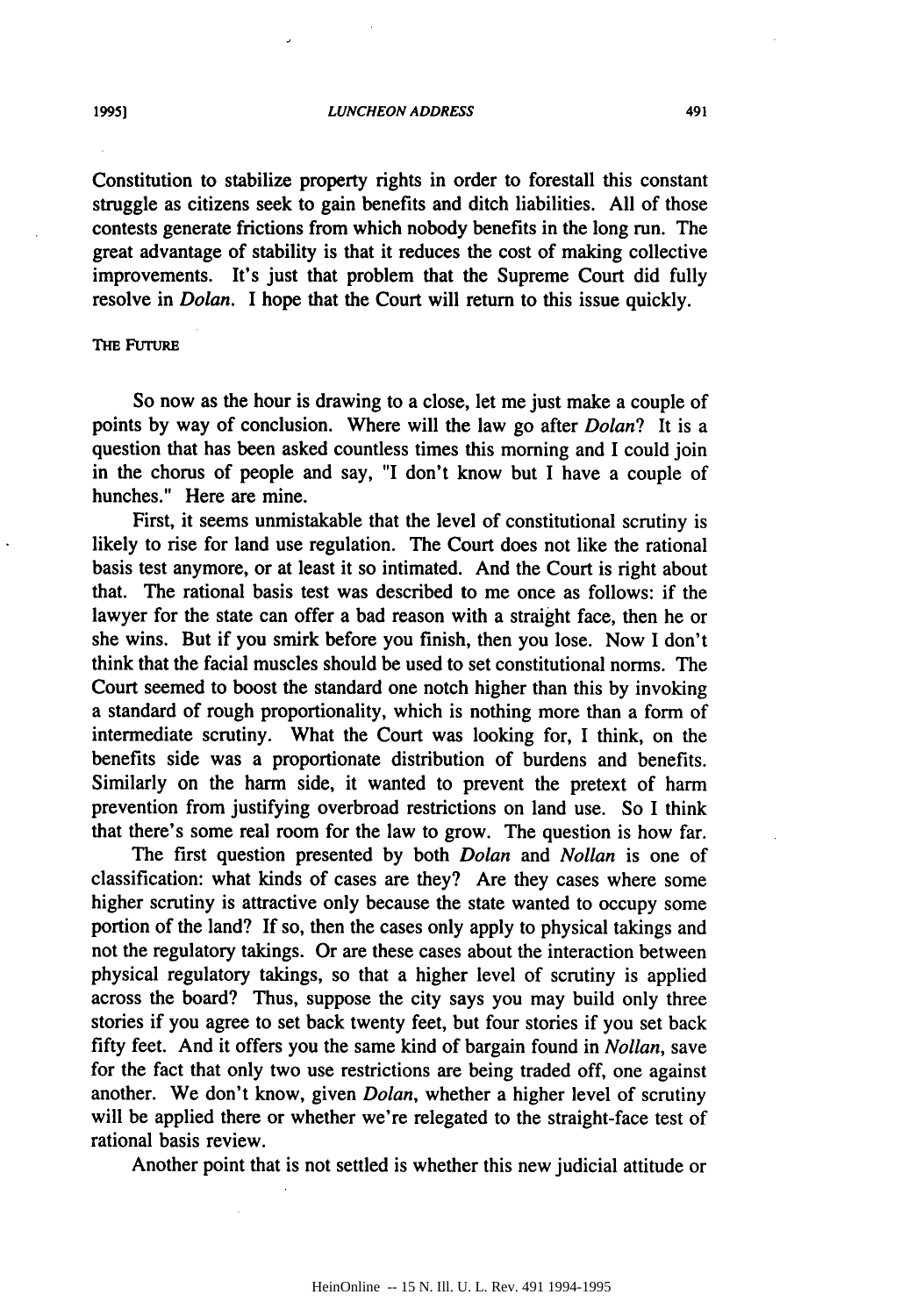Constitution to stabilize property rights in order to forestall this constant struggle as citizens seek to gain benefits and ditch liabilities. **All** of those contests generate frictions from which nobody benefits in the long run. The great advantage of stability is that it reduces the cost of making collective improvements. It's just that problem that the Supreme Court did fully resolve in *Dolan.* I hope that the Court will return to this issue quickly.

# **THE FUTURE**

So now as the hour is drawing to a close, let me just make a couple of points **by** way of conclusion. Where will the law go after *Dolan?* It is a question that has been asked countless times this morning and I could join in the chorus of people and say, "I don't know but I have a couple of hunches." Here are mine.

First, it seems unmistakable that the level of constitutional scrutiny is likely to rise for land use regulation. The Court does not like the rational basis test anymore, or at least it so intimated. And the Court is right about that. The rational basis test was described to me once as follows: if the lawyer for the state can offer a bad reason with a straight face, then he or she wins. But if you smirk before you finish, then you lose. Now I don't think that the facial muscles should be used to set constitutional norms. The Court seemed to boost the standard one notch higher than this **by** invoking a standard of rough proportionality, which is nothing more than a form of intermediate scrutiny. What the Court was looking for, I think, on the benefits side was a proportionate distribution of burdens and benefits. Similarly on the harm side, it wanted to prevent the pretext of harm prevention from justifying overbroad restrictions on land use. So I think that there's some real room for the law to grow. The question is how far.

The first question presented by both *Dolan* and *Nollan* is one of classification: what kinds of cases are they? Are they cases where some higher scrutiny is attractive only because the state wanted to occupy some portion of the land? If so, then the cases only apply to physical takings and not the regulatory takings. Or are these cases about the interaction between physical regulatory takings, so that a higher level of scrutiny is applied across the board? Thus, suppose the city says you may build only three stories if you agree to set back twenty feet, but four stories if you set back fifty feet. And it offers you the same kind of bargain found in *Nollan,* save for the fact that only two use restrictions are being traded off, one against another. We don't know, given *Dolan,* whether a higher level of scrutiny will be applied there or whether we're relegated to the straight-face test of rational basis review.

Another point that is not settled is whether this new judicial attitude or